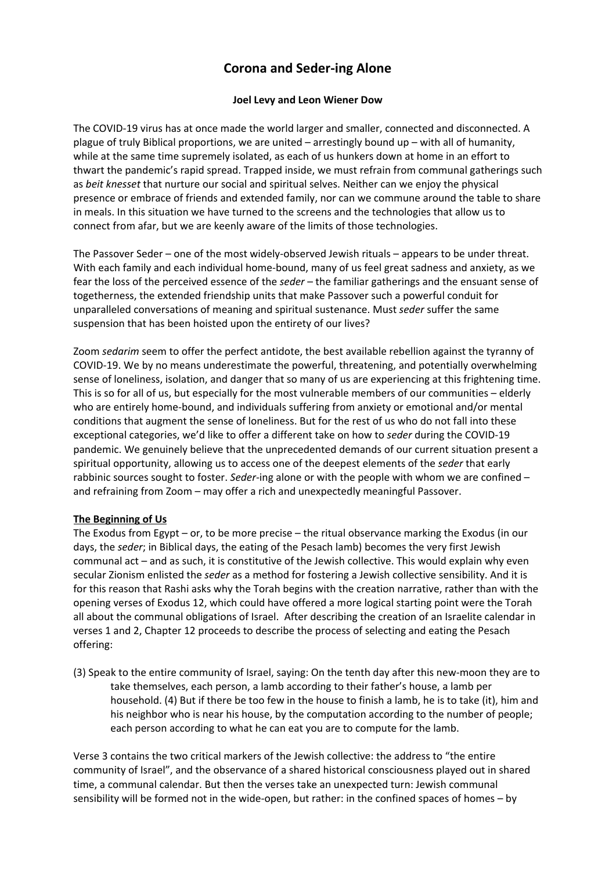# **Corona and Seder-ing Alone**

# **Joel Levy and Leon Wiener Dow**

The COVID-19 virus has at once made the world larger and smaller, connected and disconnected. A plague of truly Biblical proportions, we are united – arrestingly bound up – with all of humanity, while at the same time supremely isolated, as each of us hunkers down at home in an effort to thwart the pandemic's rapid spread. Trapped inside, we must refrain from communal gatherings such as *beit knesset* that nurture our social and spiritual selves. Neither can we enjoy the physical presence or embrace of friends and extended family, nor can we commune around the table to share in meals. In this situation we have turned to the screens and the technologies that allow us to connect from afar, but we are keenly aware of the limits of those technologies.

The Passover Seder – one of the most widely-observed Jewish rituals – appears to be under threat. With each family and each individual home-bound, many of us feel great sadness and anxiety, as we fear the loss of the perceived essence of the *seder* – the familiar gatherings and the ensuant sense of togetherness, the extended friendship units that make Passover such a powerful conduit for unparalleled conversations of meaning and spiritual sustenance. Must *seder* suffer the same suspension that has been hoisted upon the entirety of our lives?

Zoom *sedarim* seem to offer the perfect antidote, the best available rebellion against the tyranny of COVID-19. We by no means underestimate the powerful, threatening, and potentially overwhelming sense of loneliness, isolation, and danger that so many of us are experiencing at this frightening time. This is so for all of us, but especially for the most vulnerable members of our communities – elderly who are entirely home-bound, and individuals suffering from anxiety or emotional and/or mental conditions that augment the sense of loneliness. But for the rest of us who do not fall into these exceptional categories, we'd like to offer a different take on how to *seder* during the COVID-19 pandemic. We genuinely believe that the unprecedented demands of our current situation present a spiritual opportunity, allowing us to access one of the deepest elements of the *seder* that early rabbinic sources sought to foster. *Seder*-ing alone or with the people with whom we are confined – and refraining from Zoom – may offer a rich and unexpectedly meaningful Passover.

## **The Beginning of Us**

The Exodus from Egypt – or, to be more precise – the ritual observance marking the Exodus (in our days, the *seder*; in Biblical days, the eating of the Pesach lamb) becomes the very first Jewish communal act – and as such, it is constitutive of the Jewish collective. This would explain why even secular Zionism enlisted the *seder* as a method for fostering a Jewish collective sensibility. And it is for this reason that Rashi asks why the Torah begins with the creation narrative, rather than with the opening verses of Exodus 12, which could have offered a more logical starting point were the Torah all about the communal obligations of Israel. After describing the creation of an Israelite calendar in verses 1 and 2, Chapter 12 proceeds to describe the process of selecting and eating the Pesach offering:

(3) Speak to the entire community of Israel, saying: On the tenth day after this new-moon they are to take themselves, each person, a lamb according to their father's house, a lamb per household. (4) But if there be too few in the house to finish a lamb, he is to take (it), him and his neighbor who is near his house, by the computation according to the number of people; each person according to what he can eat you are to compute for the lamb.

Verse 3 contains the two critical markers of the Jewish collective: the address to "the entire community of Israel", and the observance of a shared historical consciousness played out in shared time, a communal calendar. But then the verses take an unexpected turn: Jewish communal sensibility will be formed not in the wide-open, but rather: in the confined spaces of homes – by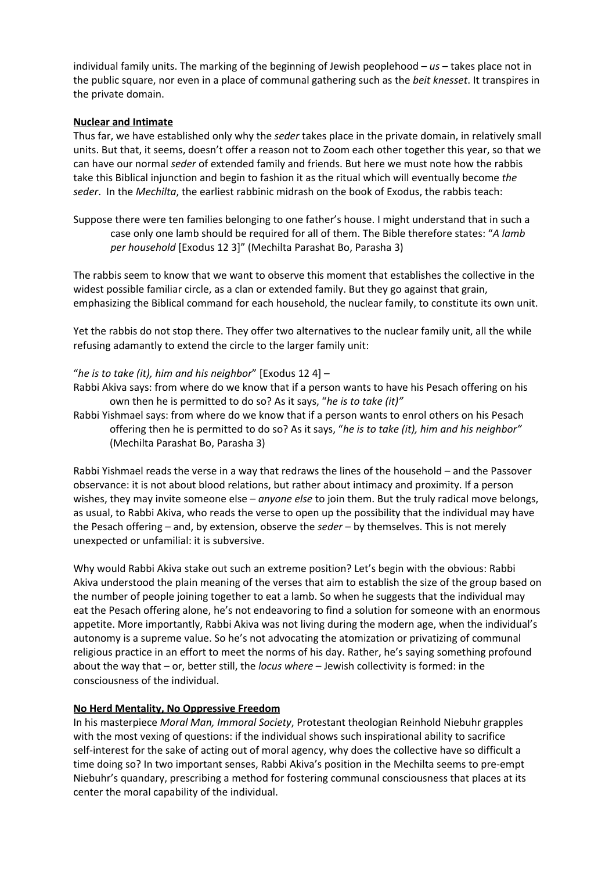individual family units. The marking of the beginning of Jewish peoplehood – *us* – takes place not in the public square, nor even in a place of communal gathering such as the *beit knesset*. It transpires in the private domain.

## **Nuclear and Intimate**

Thus far, we have established only why the *seder* takes place in the private domain, in relatively small units. But that, it seems, doesn't offer a reason not to Zoom each other together this year, so that we can have our normal *seder* of extended family and friends. But here we must note how the rabbis take this Biblical injunction and begin to fashion it as the ritual which will eventually become *the seder*. In the *Mechilta*, the earliest rabbinic midrash on the book of Exodus, the rabbis teach:

Suppose there were ten families belonging to one father's house. I might understand that in such a case only one lamb should be required for all of them. The Bible therefore states: "*A lamb per household* [Exodus 12 3]" (Mechilta Parashat Bo, Parasha 3)

The rabbis seem to know that we want to observe this moment that establishes the collective in the widest possible familiar circle, as a clan or extended family. But they go against that grain, emphasizing the Biblical command for each household, the nuclear family, to constitute its own unit.

Yet the rabbis do not stop there. They offer two alternatives to the nuclear family unit, all the while refusing adamantly to extend the circle to the larger family unit:

## "*he is to take (it), him and his neighbor*" [Exodus 12 4] –

- Rabbi Akiva says: from where do we know that if a person wants to have his Pesach offering on his own then he is permitted to do so? As it says, "*he is to take (it)"*
- Rabbi Yishmael says: from where do we know that if a person wants to enrol others on his Pesach offering then he is permitted to do so? As it says, "*he is to take (it), him and his neighbor"* (Mechilta Parashat Bo, Parasha 3)

Rabbi Yishmael reads the verse in a way that redraws the lines of the household – and the Passover observance: it is not about blood relations, but rather about intimacy and proximity. If a person wishes, they may invite someone else – *anyone else* to join them. But the truly radical move belongs, as usual, to Rabbi Akiva, who reads the verse to open up the possibility that the individual may have the Pesach offering – and, by extension, observe the *seder* – by themselves. This is not merely unexpected or unfamilial: it is subversive.

Why would Rabbi Akiva stake out such an extreme position? Let's begin with the obvious: Rabbi Akiva understood the plain meaning of the verses that aim to establish the size of the group based on the number of people joining together to eat a lamb. So when he suggests that the individual may eat the Pesach offering alone, he's not endeavoring to find a solution for someone with an enormous appetite. More importantly, Rabbi Akiva was not living during the modern age, when the individual's autonomy is a supreme value. So he's not advocating the atomization or privatizing of communal religious practice in an effort to meet the norms of his day. Rather, he's saying something profound about the way that – or, better still, the *locus where* – Jewish collectivity is formed: in the consciousness of the individual.

## **No Herd Mentality, No Oppressive Freedom**

In his masterpiece *Moral Man, Immoral Society*, Protestant theologian Reinhold Niebuhr grapples with the most vexing of questions: if the individual shows such inspirational ability to sacrifice self-interest for the sake of acting out of moral agency, why does the collective have so difficult a time doing so? In two important senses, Rabbi Akiva's position in the Mechilta seems to pre-empt Niebuhr's quandary, prescribing a method for fostering communal consciousness that places at its center the moral capability of the individual.